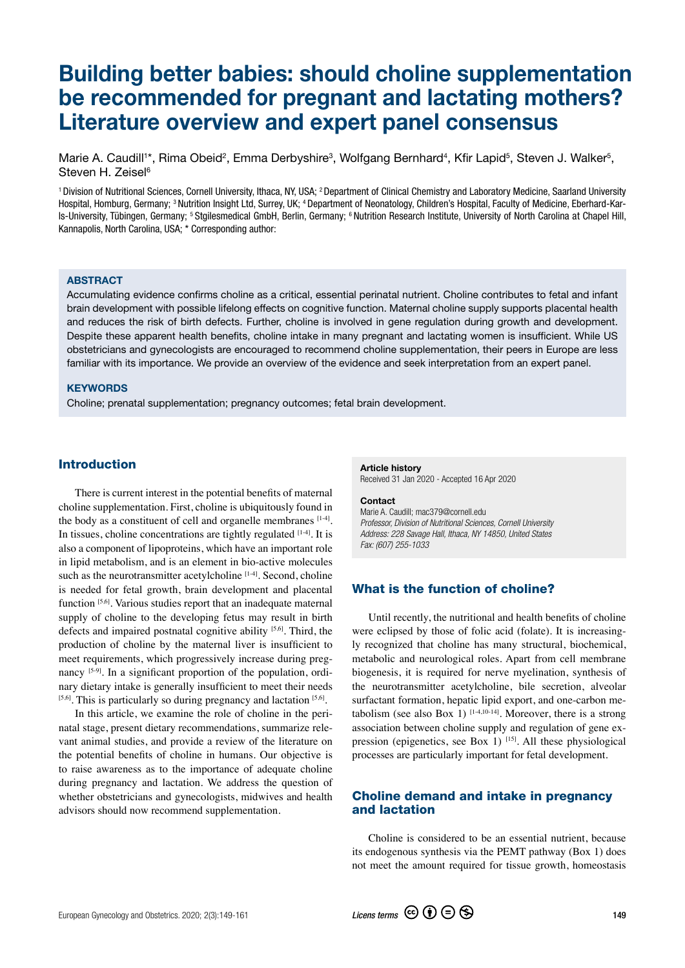# Building better babies: should choline supplementation be recommended for pregnant and lactating mothers? Literature overview and expert panel consensus

Marie A. Caudill<sup>1\*</sup>, Rima Obeid<sup>2</sup>, Emma Derbyshire<sup>3</sup>, Wolfgang Bernhard<sup>4</sup>, Kfir Lapid<sup>5</sup>, Steven J. Walker<sup>5</sup>, Steven H. Zeisel<sup>6</sup>

1 Division of Nutritional Sciences, Cornell University, Ithaca, NY, USA; 2 Department of Clinical Chemistry and Laboratory Medicine, Saarland University Hospital, Homburg, Germany; 3 Nutrition Insight Ltd, Surrey, UK; 4 Department of Neonatology, Children's Hospital, Faculty of Medicine, Eberhard-Karls-University, Tübingen, Germany; 5 Stgilesmedical GmbH, Berlin, Germany; 6 Nutrition Research Institute, University of North Carolina at Chapel Hill, Kannapolis, North Carolina, USA; \* Corresponding author:

#### **ABSTRACT**

Accumulating evidence confirms choline as a critical, essential perinatal nutrient. Choline contributes to fetal and infant brain development with possible lifelong effects on cognitive function. Maternal choline supply supports placental health and reduces the risk of birth defects. Further, choline is involved in gene regulation during growth and development. Despite these apparent health benefits, choline intake in many pregnant and lactating women is insufficient. While US obstetricians and gynecologists are encouraged to recommend choline supplementation, their peers in Europe are less familiar with its importance. We provide an overview of the evidence and seek interpretation from an expert panel.

#### **KEYWORDS**

Choline; prenatal supplementation; pregnancy outcomes; fetal brain development.

#### Introduction

There is current interest in the potential benefits of maternal choline supplementation. First, choline is ubiquitously found in the body as a constituent of cell and organelle membranes  $[1-4]$ . In tissues, choline concentrations are tightly regulated  $[1-4]$ . It is also a component of lipoproteins, which have an important role in lipid metabolism, and is an element in bio-active molecules such as the neurotransmitter acetylcholine  $[1-4]$ . Second, choline is needed for fetal growth, brain development and placental function [5,6]. Various studies report that an inadequate maternal supply of choline to the developing fetus may result in birth defects and impaired postnatal cognitive ability [5,6]. Third, the production of choline by the maternal liver is insufficient to meet requirements, which progressively increase during pregnancy  $[5-9]$ . In a significant proportion of the population, ordinary dietary intake is generally insufficient to meet their needs  $[5,6]$ . This is particularly so during pregnancy and lactation  $[5,6]$ .

In this article, we examine the role of choline in the perinatal stage, present dietary recommendations, summarize relevant animal studies, and provide a review of the literature on the potential benefits of choline in humans. Our objective is to raise awareness as to the importance of adequate choline during pregnancy and lactation. We address the question of whether obstetricians and gynecologists, midwives and health advisors should now recommend supplementation.

#### Article history Received 31 Jan 2020 - Accepted 16 Apr 2020

#### Contact

Marie A. Caudill; mac379@cornell.edu *Professor, Division of Nutritional Sciences, Cornell University Address: 228 Savage Hall, Ithaca, NY 14850, United States Fax: (607) 255-1033*

# What is the function of choline?

Until recently, the nutritional and health benefits of choline were eclipsed by those of folic acid (folate). It is increasingly recognized that choline has many structural, biochemical, metabolic and neurological roles. Apart from cell membrane biogenesis, it is required for nerve myelination, synthesis of the neurotransmitter acetylcholine, bile secretion, alveolar surfactant formation, hepatic lipid export, and one-carbon metabolism (see also Box 1)  $[1-4,10-14]$ . Moreover, there is a strong association between choline supply and regulation of gene expression (epigenetics, see Box 1)  $^{[15]}$ . All these physiological processes are particularly important for fetal development.

# Choline demand and intake in pregnancy and lactation

Choline is considered to be an essential nutrient, because its endogenous synthesis via the PEMT pathway (Box 1) does not meet the amount required for tissue growth, homeostasis

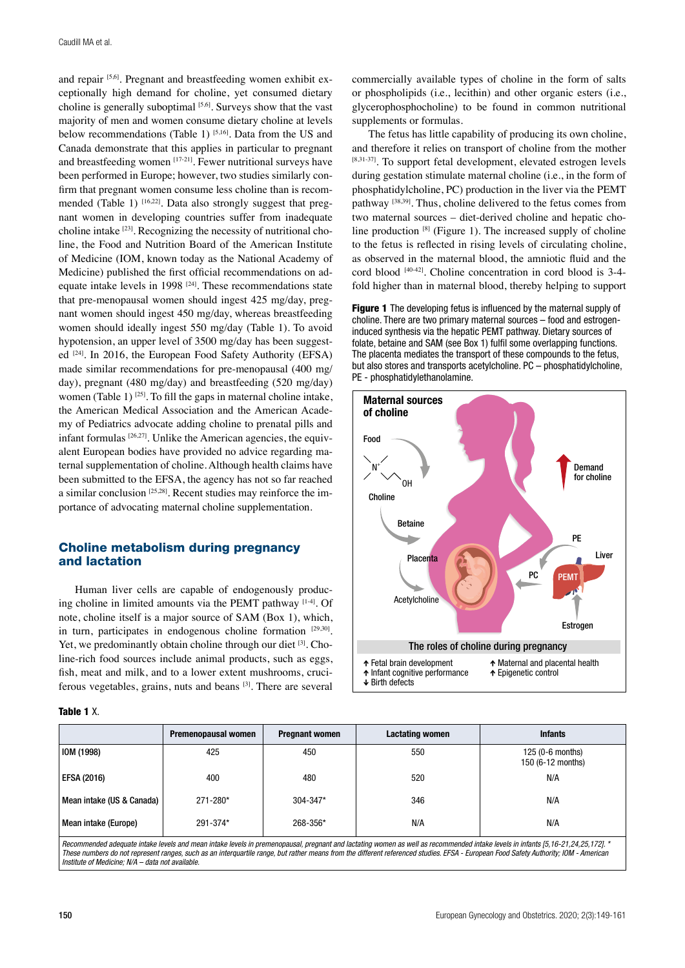and repair [5,6]. Pregnant and breastfeeding women exhibit exceptionally high demand for choline, yet consumed dietary choline is generally suboptimal [5,6]. Surveys show that the vast majority of men and women consume dietary choline at levels below recommendations (Table 1) [5,16]. Data from the US and Canada demonstrate that this applies in particular to pregnant and breastfeeding women [17-21]. Fewer nutritional surveys have been performed in Europe; however, two studies similarly confirm that pregnant women consume less choline than is recommended (Table 1)  $[16,22]$ . Data also strongly suggest that pregnant women in developing countries suffer from inadequate choline intake [23]. Recognizing the necessity of nutritional choline, the Food and Nutrition Board of the American Institute of Medicine (IOM, known today as the National Academy of Medicine) published the first official recommendations on adequate intake levels in 1998 [24]. These recommendations state that pre-menopausal women should ingest 425 mg/day, pregnant women should ingest 450 mg/day, whereas breastfeeding women should ideally ingest 550 mg/day (Table 1). To avoid hypotension, an upper level of 3500 mg/day has been suggested <sup>[24]</sup>. In 2016, the European Food Safety Authority (EFSA) made similar recommendations for pre-menopausal (400 mg/ day), pregnant (480 mg/day) and breastfeeding (520 mg/day) women (Table 1)  $^{[25]}$ . To fill the gaps in maternal choline intake, the American Medical Association and the American Academy of Pediatrics advocate adding choline to prenatal pills and infant formulas  $[26,27]$ . Unlike the American agencies, the equivalent European bodies have provided no advice regarding maternal supplementation of choline. Although health claims have been submitted to the EFSA, the agency has not so far reached a similar conclusion [25,28]. Recent studies may reinforce the importance of advocating maternal choline supplementation.

# Choline metabolism during pregnancy and lactation

Human liver cells are capable of endogenously producing choline in limited amounts via the PEMT pathway  $[1-4]$ . Of note, choline itself is a major source of SAM (Box 1), which, in turn, participates in endogenous choline formation [29,30]. Yet, we predominantly obtain choline through our diet  $[3]$ . Choline-rich food sources include animal products, such as eggs, fish, meat and milk, and to a lower extent mushrooms, cruciferous vegetables, grains, nuts and beans [3]. There are several

#### Table 1 X.

commercially available types of choline in the form of salts or phospholipids (i.e., lecithin) and other organic esters (i.e., glycerophosphocholine) to be found in common nutritional supplements or formulas.

The fetus has little capability of producing its own choline, and therefore it relies on transport of choline from the mother [8,31-37]. To support fetal development, elevated estrogen levels during gestation stimulate maternal choline (i.e., in the form of phosphatidylcholine, PC) production in the liver via the PEMT pathway [38,39]. Thus, choline delivered to the fetus comes from two maternal sources – diet-derived choline and hepatic choline production  $[8]$  (Figure 1). The increased supply of choline to the fetus is reflected in rising levels of circulating choline, as observed in the maternal blood, the amniotic fluid and the cord blood  $[40-42]$ . Choline concentration in cord blood is 3-4fold higher than in maternal blood, thereby helping to support

Figure 1 The developing fetus is influenced by the maternal supply of choline. There are two primary maternal sources – food and estrogeninduced synthesis via the hepatic PEMT pathway. Dietary sources of folate, betaine and SAM (see Box 1) fulfil some overlapping functions. The placenta mediates the transport of these compounds to the fetus, but also stores and transports acetylcholine. PC – phosphatidylcholine, PE - phosphatidylethanolamine.



|                                                                                                                                                                                 | Premenopausal women | <b>Pregnant women</b> | Lactating women | <b>Infants</b>                        |  |
|---------------------------------------------------------------------------------------------------------------------------------------------------------------------------------|---------------------|-----------------------|-----------------|---------------------------------------|--|
| <b>IOM (1998)</b>                                                                                                                                                               | 425                 | 450                   | 550             | 125 (0-6 months)<br>150 (6-12 months) |  |
| <b>EFSA (2016)</b>                                                                                                                                                              | 400                 | 480                   | 520             | N/A                                   |  |
| Mean intake (US & Canada)                                                                                                                                                       | 271-280*            | 304-347*              | 346             | N/A                                   |  |
| Mean intake (Europe)                                                                                                                                                            | 291-374*            | 268-356*              | N/A             | N/A                                   |  |
| Becommonded adamste intelig laugh and moon intelig laugh in aromanoncusel, aromand ad lastgive usamo as well as recommonded intelig laugh in infants IE 10, 01, 04, 05, 1701, * |                     |                       |                 |                                       |  |

*Recommended adequate intake levels and mean intake levels in premenopausal, pregnant and lactating women as well as recommended intake levels in infants [5,16-21,24,25,172]. \* These numbers do not represent ranges, such as an interquartile range, but rather means from the different referenced studies. EFSA - European Food Safety Authority; IOM - American Institute of Medicine; N/A – data not available.*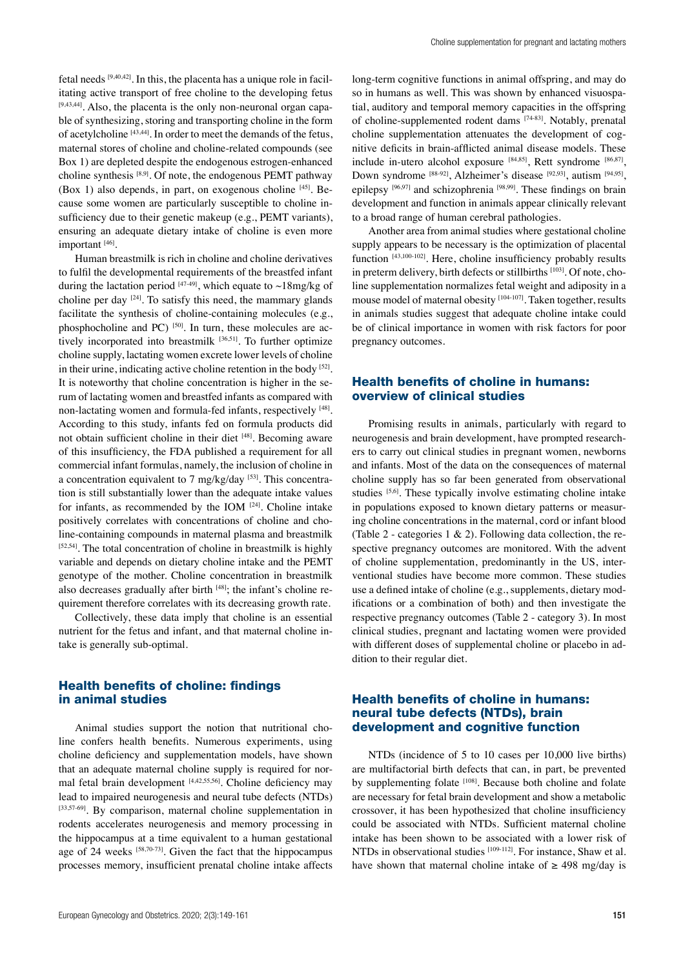fetal needs [9,40,42]. In this, the placenta has a unique role in facilitating active transport of free choline to the developing fetus [9,43,44]. Also, the placenta is the only non-neuronal organ capable of synthesizing, storing and transporting choline in the form of acetylcholine [43,44]. In order to meet the demands of the fetus, maternal stores of choline and choline-related compounds (see Box 1) are depleted despite the endogenous estrogen-enhanced choline synthesis [8,9]. Of note, the endogenous PEMT pathway (Box 1) also depends, in part, on exogenous choline  $[45]$ . Because some women are particularly susceptible to choline insufficiency due to their genetic makeup (e.g., PEMT variants), ensuring an adequate dietary intake of choline is even more important<sup>[46]</sup>.

Human breastmilk is rich in choline and choline derivatives to fulfil the developmental requirements of the breastfed infant during the lactation period  $[47-49]$ , which equate to  $\sim$ 18mg/kg of choline per day  $[24]$ . To satisfy this need, the mammary glands facilitate the synthesis of choline-containing molecules (e.g., phosphocholine and PC) [50]. In turn, these molecules are actively incorporated into breastmilk [36,51]. To further optimize choline supply, lactating women excrete lower levels of choline in their urine, indicating active choline retention in the body [52]. It is noteworthy that choline concentration is higher in the serum of lactating women and breastfed infants as compared with non-lactating women and formula-fed infants, respectively [48]. According to this study, infants fed on formula products did not obtain sufficient choline in their diet [48]. Becoming aware of this insufficiency, the FDA published a requirement for all commercial infant formulas, namely, the inclusion of choline in a concentration equivalent to  $7 \text{ mg/kg/day}$  [53]. This concentration is still substantially lower than the adequate intake values for infants, as recommended by the IOM  $[24]$ . Choline intake positively correlates with concentrations of choline and choline-containing compounds in maternal plasma and breastmilk  $[52,54]$ . The total concentration of choline in breastmilk is highly variable and depends on dietary choline intake and the PEMT genotype of the mother. Choline concentration in breastmilk also decreases gradually after birth  $[48]$ ; the infant's choline requirement therefore correlates with its decreasing growth rate.

Collectively, these data imply that choline is an essential nutrient for the fetus and infant, and that maternal choline intake is generally sub-optimal.

# Health benefits of choline: findings in animal studies

Animal studies support the notion that nutritional choline confers health benefits. Numerous experiments, using choline deficiency and supplementation models, have shown that an adequate maternal choline supply is required for normal fetal brain development  $[4,42,55,56]$ . Choline deficiency may lead to impaired neurogenesis and neural tube defects (NTDs) [33,57-69]. By comparison, maternal choline supplementation in rodents accelerates neurogenesis and memory processing in the hippocampus at a time equivalent to a human gestational age of 24 weeks  $[58,70-73]$ . Given the fact that the hippocampus processes memory, insufficient prenatal choline intake affects long-term cognitive functions in animal offspring, and may do so in humans as well. This was shown by enhanced visuospatial, auditory and temporal memory capacities in the offspring of choline-supplemented rodent dams [74-83]. Notably, prenatal choline supplementation attenuates the development of cognitive deficits in brain-afflicted animal disease models. These include in-utero alcohol exposure [84,85], Rett syndrome [86,87], Down syndrome [88-92], Alzheimer's disease [92,93], autism [94,95], epilepsy [96,97] and schizophrenia [98,99]. These findings on brain development and function in animals appear clinically relevant to a broad range of human cerebral pathologies.

Another area from animal studies where gestational choline supply appears to be necessary is the optimization of placental function [43,100-102]. Here, choline insufficiency probably results in preterm delivery, birth defects or stillbirths [103]. Of note, choline supplementation normalizes fetal weight and adiposity in a mouse model of maternal obesity [104-107]. Taken together, results in animals studies suggest that adequate choline intake could be of clinical importance in women with risk factors for poor pregnancy outcomes.

#### Health benefits of choline in humans: overview of clinical studies

Promising results in animals, particularly with regard to neurogenesis and brain development, have prompted researchers to carry out clinical studies in pregnant women, newborns and infants. Most of the data on the consequences of maternal choline supply has so far been generated from observational studies [5,6]. These typically involve estimating choline intake in populations exposed to known dietary patterns or measuring choline concentrations in the maternal, cord or infant blood (Table 2 - categories  $1 \& 2$ ). Following data collection, the respective pregnancy outcomes are monitored. With the advent of choline supplementation, predominantly in the US, interventional studies have become more common. These studies use a defined intake of choline (e.g., supplements, dietary modifications or a combination of both) and then investigate the respective pregnancy outcomes (Table 2 - category 3). In most clinical studies, pregnant and lactating women were provided with different doses of supplemental choline or placebo in addition to their regular diet.

#### Health benefits of choline in humans: neural tube defects (NTDs), brain development and cognitive function

NTDs (incidence of 5 to 10 cases per 10,000 live births) are multifactorial birth defects that can, in part, be prevented by supplementing folate [108]. Because both choline and folate are necessary for fetal brain development and show a metabolic crossover, it has been hypothesized that choline insufficiency could be associated with NTDs. Sufficient maternal choline intake has been shown to be associated with a lower risk of NTDs in observational studies <sup>[109-112]</sup>. For instance, Shaw et al. have shown that maternal choline intake of  $\geq$  498 mg/day is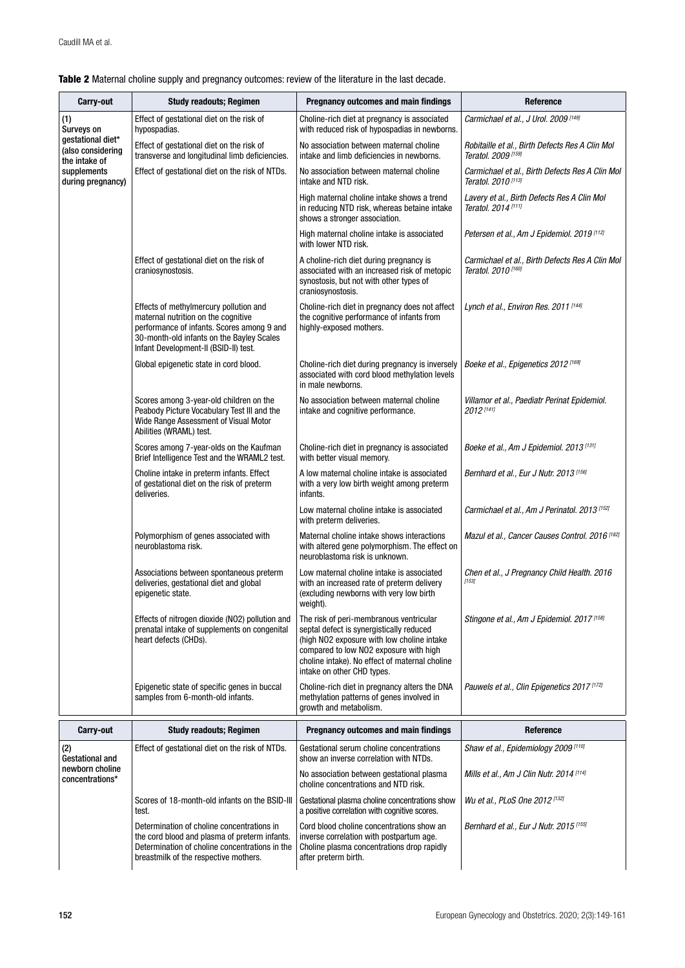| Carry-out                                                                                                        | <b>Study readouts; Regimen</b>                                                                                                                                                                                    | Pregnancy outcomes and main findings                                                                                                                                                                                                                        | Reference                                                                         |
|------------------------------------------------------------------------------------------------------------------|-------------------------------------------------------------------------------------------------------------------------------------------------------------------------------------------------------------------|-------------------------------------------------------------------------------------------------------------------------------------------------------------------------------------------------------------------------------------------------------------|-----------------------------------------------------------------------------------|
| (1)<br>Surveys on<br>gestational diet*<br>(also considering<br>the intake of<br>supplements<br>during pregnancy) | Effect of gestational diet on the risk of<br>hypospadias.                                                                                                                                                         | Choline-rich diet at pregnancy is associated<br>with reduced risk of hypospadias in newborns.                                                                                                                                                               | Carmichael et al., J Urol. 2009 [149]                                             |
|                                                                                                                  | Effect of gestational diet on the risk of<br>transverse and longitudinal limb deficiencies.                                                                                                                       | No association between maternal choline<br>intake and limb deficiencies in newborns.                                                                                                                                                                        | Robitaille et al., Birth Defects Res A Clin Mol<br>Teratol. 2009 [159]            |
|                                                                                                                  | Effect of gestational diet on the risk of NTDs.                                                                                                                                                                   | No association between maternal choline<br>intake and NTD risk.                                                                                                                                                                                             | Carmichael et al., Birth Defects Res A Clin Mol<br>Teratol. 2010 <sup>[113]</sup> |
|                                                                                                                  |                                                                                                                                                                                                                   | High maternal choline intake shows a trend<br>in reducing NTD risk, whereas betaine intake<br>shows a stronger association.                                                                                                                                 | Lavery et al., Birth Defects Res A Clin Mol<br>Teratol. 2014 <sup>[111]</sup>     |
|                                                                                                                  |                                                                                                                                                                                                                   | High maternal choline intake is associated<br>with lower NTD risk.                                                                                                                                                                                          | Petersen et al., Am J Epidemiol. 2019 [112]                                       |
|                                                                                                                  | Effect of gestational diet on the risk of<br>craniosynostosis.                                                                                                                                                    | A choline-rich diet during pregnancy is<br>associated with an increased risk of metopic<br>synostosis, but not with other types of<br>craniosynostosis.                                                                                                     | Carmichael et al., Birth Defects Res A Clin Mol<br>Teratol, 2010 <sup>[160]</sup> |
|                                                                                                                  | Effects of methylmercury pollution and<br>maternal nutrition on the cognitive<br>performance of infants. Scores among 9 and<br>30-month-old infants on the Bayley Scales<br>Infant Development-II (BSID-II) test. | Choline-rich diet in pregnancy does not affect<br>the cognitive performance of infants from<br>highly-exposed mothers.                                                                                                                                      | Lynch et al., Environ Res. 2011 [144]                                             |
|                                                                                                                  | Global epigenetic state in cord blood.                                                                                                                                                                            | Choline-rich diet during pregnancy is inversely<br>associated with cord blood methylation levels<br>in male newborns.                                                                                                                                       | Boeke et al., Epigenetics 2012 <sup>[169]</sup>                                   |
|                                                                                                                  | Scores among 3-year-old children on the<br>Peabody Picture Vocabulary Test III and the<br>Wide Range Assessment of Visual Motor<br>Abilities (WRAML) test.                                                        | No association between maternal choline<br>intake and cognitive performance.                                                                                                                                                                                | Villamor et al., Paediatr Perinat Epidemiol.<br>2012 <sup>[141]</sup>             |
|                                                                                                                  | Scores among 7-year-olds on the Kaufman<br>Brief Intelligence Test and the WRAML2 test.                                                                                                                           | Choline-rich diet in pregnancy is associated<br>with better visual memory.                                                                                                                                                                                  | Boeke et al., Am J Epidemiol. 2013 [131]                                          |
|                                                                                                                  | Choline intake in preterm infants. Effect<br>of gestational diet on the risk of preterm<br>deliveries.                                                                                                            | A low maternal choline intake is associated<br>with a very low birth weight among preterm<br>infants.                                                                                                                                                       | Bernhard et al., Eur J Nutr. 2013 [156]                                           |
|                                                                                                                  |                                                                                                                                                                                                                   | Low maternal choline intake is associated<br>with preterm deliveries.                                                                                                                                                                                       | Carmichael et al., Am J Perinatol. 2013 <sup>[152]</sup>                          |
|                                                                                                                  | Polymorphism of genes associated with<br>neuroblastoma risk.                                                                                                                                                      | Maternal choline intake shows interactions<br>with altered gene polymorphism. The effect on<br>neuroblastoma risk is unknown.                                                                                                                               | Mazul et al., Cancer Causes Control. 2016 <sup>[182]</sup>                        |
|                                                                                                                  | Associations between spontaneous preterm<br>deliveries, gestational diet and global<br>epigenetic state.                                                                                                          | Low maternal choline intake is associated<br>with an increased rate of preterm delivery<br>(excluding newborns with very low birth<br>weight).                                                                                                              | Chen et al., J Pregnancy Child Health. 2016<br>[153]                              |
|                                                                                                                  | Effects of nitrogen dioxide (NO2) pollution and<br>prenatal intake of supplements on congenital<br>heart defects (CHDs).                                                                                          | The risk of peri-membranous ventricular<br>septal defect is synergistically reduced<br>(high NO2 exposure with low choline intake<br>compared to low NO2 exposure with high<br>choline intake). No effect of maternal choline<br>intake on other CHD types. | Stingone et al., Am J Epidemiol. 2017 [158]                                       |
|                                                                                                                  | Epigenetic state of specific genes in buccal<br>samples from 6-month-old infants.                                                                                                                                 | Choline-rich diet in pregnancy alters the DNA<br>methylation patterns of genes involved in<br>growth and metabolism.                                                                                                                                        | Pauwels et al., Clin Epigenetics 2017 <sup>[172]</sup>                            |
| Carry-out                                                                                                        | <b>Study readouts; Regimen</b>                                                                                                                                                                                    | Pregnancy outcomes and main findings                                                                                                                                                                                                                        | Reference                                                                         |
| (2)<br>Gestational and<br>newborn choline<br>concentrations*                                                     | Effect of gestational diet on the risk of NTDs.                                                                                                                                                                   | Gestational serum choline concentrations<br>show an inverse correlation with NTDs.                                                                                                                                                                          | Shaw et al., Epidemiology 2009 [110]                                              |
|                                                                                                                  |                                                                                                                                                                                                                   | No association between gestational plasma<br>choline concentrations and NTD risk.                                                                                                                                                                           | Mills et al., Am J Clin Nutr. 2014 [114]                                          |
|                                                                                                                  | Scores of 18-month-old infants on the BSID-III<br>test.                                                                                                                                                           | Gestational plasma choline concentrations show<br>a positive correlation with cognitive scores.                                                                                                                                                             | Wu et al., PLoS One 2012 <sup>[132]</sup>                                         |
|                                                                                                                  | Determination of choline concentrations in<br>the cord blood and plasma of preterm infants.<br>Determination of choline concentrations in the<br>breastmilk of the respective mothers.                            | Cord blood choline concentrations show an<br>inverse correlation with postpartum age.<br>Choline plasma concentrations drop rapidly<br>after preterm birth.                                                                                                 | Bernhard et al., Eur J Nutr. 2015 [155]                                           |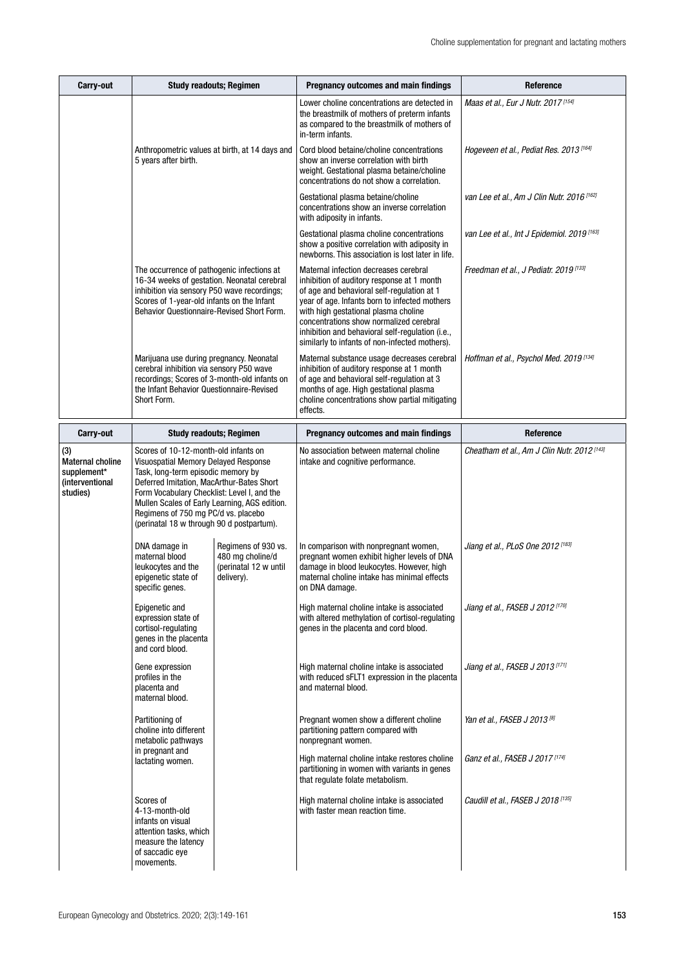| Carry-out                                                                    | <b>Study readouts; Regimen</b>                                                                                                                                                                                                                                                                                                                      |                                                                                                     | Pregnancy outcomes and main findings                                                                                                                                                                                                                                                                                                                                        | Reference                                     |
|------------------------------------------------------------------------------|-----------------------------------------------------------------------------------------------------------------------------------------------------------------------------------------------------------------------------------------------------------------------------------------------------------------------------------------------------|-----------------------------------------------------------------------------------------------------|-----------------------------------------------------------------------------------------------------------------------------------------------------------------------------------------------------------------------------------------------------------------------------------------------------------------------------------------------------------------------------|-----------------------------------------------|
|                                                                              | Anthropometric values at birth, at 14 days and<br>5 years after birth.                                                                                                                                                                                                                                                                              |                                                                                                     | Lower choline concentrations are detected in<br>the breastmilk of mothers of preterm infants<br>as compared to the breastmilk of mothers of<br>in-term infants.                                                                                                                                                                                                             | Maas et al., Eur J Nutr. 2017 [154]           |
|                                                                              |                                                                                                                                                                                                                                                                                                                                                     |                                                                                                     | Cord blood betaine/choline concentrations<br>show an inverse correlation with birth<br>weight. Gestational plasma betaine/choline<br>concentrations do not show a correlation.                                                                                                                                                                                              | Hogeveen et al., Pediat Res. 2013 [164]       |
|                                                                              |                                                                                                                                                                                                                                                                                                                                                     |                                                                                                     | Gestational plasma betaine/choline<br>concentrations show an inverse correlation<br>with adiposity in infants.                                                                                                                                                                                                                                                              | van Lee et al., Am J Clin Nutr. 2016 [162]    |
|                                                                              | The occurrence of pathogenic infections at<br>16-34 weeks of gestation. Neonatal cerebral<br>inhibition via sensory P50 wave recordings;<br>Scores of 1-year-old infants on the Infant<br>Behavior Questionnaire-Revised Short Form.                                                                                                                |                                                                                                     | Gestational plasma choline concentrations<br>show a positive correlation with adiposity in<br>newborns. This association is lost later in life.                                                                                                                                                                                                                             | van Lee et al., Int J Epidemiol. 2019 [163]   |
|                                                                              |                                                                                                                                                                                                                                                                                                                                                     |                                                                                                     | Maternal infection decreases cerebral<br>inhibition of auditory response at 1 month<br>of age and behavioral self-regulation at 1<br>year of age. Infants born to infected mothers<br>with high gestational plasma choline<br>concentrations show normalized cerebral<br>inhibition and behavioral self-regulation (i.e.,<br>similarly to infants of non-infected mothers). | Freedman et al., J Pediatr. 2019 [133]        |
|                                                                              | Marijuana use during pregnancy. Neonatal<br>cerebral inhibition via sensory P50 wave<br>recordings; Scores of 3-month-old infants on<br>the Infant Behavior Questionnaire-Revised<br>Short Form.                                                                                                                                                    |                                                                                                     | Maternal substance usage decreases cerebral<br>inhibition of auditory response at 1 month<br>of age and behavioral self-regulation at 3<br>months of age. High gestational plasma<br>choline concentrations show partial mitigating<br>effects.                                                                                                                             | Hoffman et al., Psychol Med. 2019 [134]       |
| <b>Carry-out</b>                                                             | <b>Study readouts; Regimen</b>                                                                                                                                                                                                                                                                                                                      |                                                                                                     | Pregnancy outcomes and main findings                                                                                                                                                                                                                                                                                                                                        | Reference                                     |
| (3)<br><b>Maternal choline</b><br>supplement*<br>(interventional<br>studies) | Scores of 10-12-month-old infants on<br>Visuospatial Memory Delayed Response<br>Task, long-term episodic memory by<br>Deferred Imitation, MacArthur-Bates Short<br>Form Vocabulary Checklist: Level I, and the<br>Mullen Scales of Early Learning, AGS edition.<br>Regimens of 750 mg PC/d vs. placebo<br>(perinatal 18 w through 90 d postpartum). |                                                                                                     | No association between maternal choline<br>intake and cognitive performance.                                                                                                                                                                                                                                                                                                | Cheatham et al., Am J Clin Nutr. 2012 [143]   |
|                                                                              | DNA damage in<br>maternal blood<br>leukocytes and the<br>epigenetic state of<br>specific genes.                                                                                                                                                                                                                                                     | Regimens of 930 vs.<br>480 mg choline/d<br>(perinatal 12 w until<br>delivery).                      | In comparison with nonpregnant women,<br>pregnant women exhibit higher levels of DNA<br>damage in blood leukocytes. However, high<br>maternal choline intake has minimal effects<br>on DNA damage.                                                                                                                                                                          | Jiang et al., PLoS One 2012 [183]             |
|                                                                              | Epigenetic and<br>expression state of<br>cortisol-regulating<br>genes in the placenta<br>and cord blood.                                                                                                                                                                                                                                            |                                                                                                     | High maternal choline intake is associated<br>with altered methylation of cortisol-regulating<br>genes in the placenta and cord blood.                                                                                                                                                                                                                                      | Jiang et al., FASEB J 2012 [170]              |
|                                                                              | Gene expression<br>profiles in the<br>placenta and<br>maternal blood.                                                                                                                                                                                                                                                                               |                                                                                                     | High maternal choline intake is associated<br>with reduced sFLT1 expression in the placenta<br>and maternal blood.                                                                                                                                                                                                                                                          | Jiang et al., FASEB J 2013 <sup>[171]</sup>   |
|                                                                              | Partitioning of<br>choline into different<br>metabolic pathways<br>in pregnant and<br>lactating women.                                                                                                                                                                                                                                              | Pregnant women show a different choline<br>partitioning pattern compared with<br>nonpregnant women. | Yan et al., FASEB J 2013 <sup>[8]</sup>                                                                                                                                                                                                                                                                                                                                     |                                               |
|                                                                              |                                                                                                                                                                                                                                                                                                                                                     |                                                                                                     | High maternal choline intake restores choline<br>partitioning in women with variants in genes<br>that regulate folate metabolism.                                                                                                                                                                                                                                           | Ganz et al., FASEB J 2017 [174]               |
|                                                                              | Scores of<br>4-13-month-old<br>infants on visual<br>attention tasks, which<br>measure the latency<br>of saccadic eye<br>movements.                                                                                                                                                                                                                  |                                                                                                     | High maternal choline intake is associated<br>with faster mean reaction time.                                                                                                                                                                                                                                                                                               | Caudill et al., FASEB J 2018 <sup>[135]</sup> |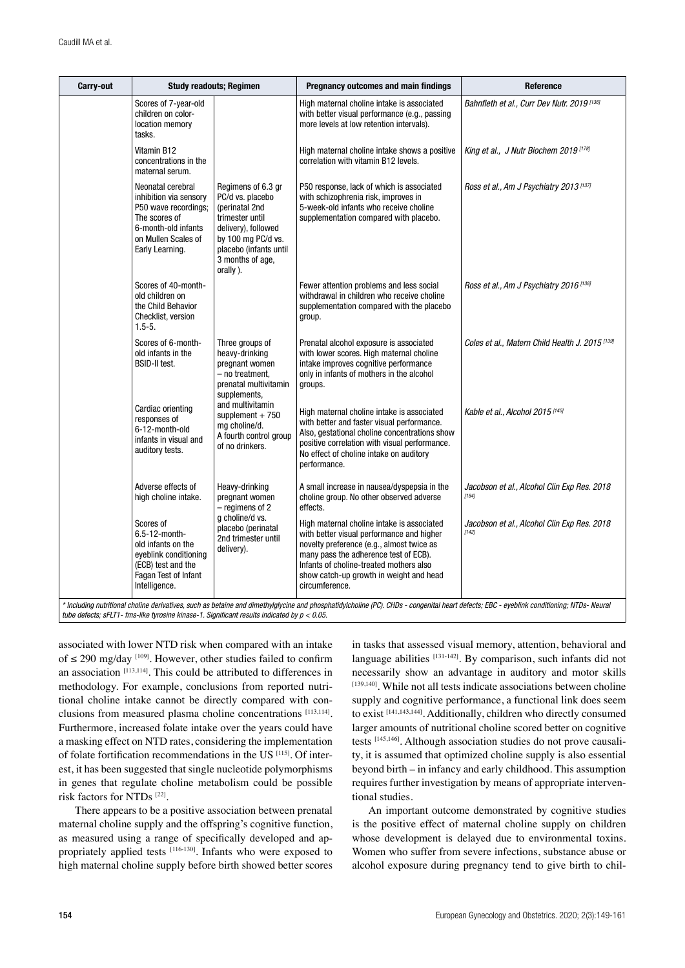| Carry-out                                                                                                                                                                                 | <b>Study readouts; Regimen</b>                                                                                                                        |                                                                                                                                                                                    | Pregnancy outcomes and main findings                                                                                                                                                                                                                                                  | Reference                                                  |
|-------------------------------------------------------------------------------------------------------------------------------------------------------------------------------------------|-------------------------------------------------------------------------------------------------------------------------------------------------------|------------------------------------------------------------------------------------------------------------------------------------------------------------------------------------|---------------------------------------------------------------------------------------------------------------------------------------------------------------------------------------------------------------------------------------------------------------------------------------|------------------------------------------------------------|
|                                                                                                                                                                                           | Scores of 7-year-old<br>children on color-<br>location memory<br>tasks.                                                                               |                                                                                                                                                                                    | High maternal choline intake is associated<br>with better visual performance (e.g., passing<br>more levels at low retention intervals).                                                                                                                                               | Bahnfleth et al., Curr Dev Nutr. 2019 [136]                |
|                                                                                                                                                                                           | Vitamin B12<br>concentrations in the<br>maternal serum.                                                                                               |                                                                                                                                                                                    | High maternal choline intake shows a positive<br>correlation with vitamin B12 levels.                                                                                                                                                                                                 | King et al., J Nutr Biochem 2019 [178]                     |
|                                                                                                                                                                                           | Neonatal cerebral<br>inhibition via sensory<br>P50 wave recordings;<br>The scores of<br>6-month-old infants<br>on Mullen Scales of<br>Early Learning. | Regimens of 6.3 gr<br>PC/d vs. placebo<br>(perinatal 2nd<br>trimester until<br>delivery), followed<br>by 100 mg PC/d vs.<br>placebo (infants until<br>3 months of age,<br>orally). | P50 response, lack of which is associated<br>with schizophrenia risk, improves in<br>5-week-old infants who receive choline<br>supplementation compared with placebo.                                                                                                                 | Ross et al., Am J Psychiatry 2013 <sup>[137]</sup>         |
|                                                                                                                                                                                           | Scores of 40-month-<br>old children on<br>the Child Behavior<br>Checklist, version<br>$1.5 - 5.$                                                      |                                                                                                                                                                                    | Fewer attention problems and less social<br>withdrawal in children who receive choline<br>supplementation compared with the placebo<br>group.                                                                                                                                         | Ross et al., Am J Psychiatry 2016 [138]                    |
|                                                                                                                                                                                           | Scores of 6-month-<br>old infants in the<br><b>BSID-II test.</b>                                                                                      | Three groups of<br>heavy-drinking<br>pregnant women<br>- no treatment,<br>prenatal multivitamin<br>supplements,                                                                    | Prenatal alcohol exposure is associated<br>with lower scores. High maternal choline<br>intake improves cognitive performance<br>only in infants of mothers in the alcohol<br>groups.                                                                                                  | Coles et al., Matern Child Health J. 2015 <sup>[139]</sup> |
|                                                                                                                                                                                           | Cardiac orienting<br>responses of<br>6-12-month-old<br>infants in visual and<br>auditory tests.                                                       | and multivitamin<br>supplement $+ 750$<br>mg choline/d.<br>A fourth control group<br>of no drinkers.                                                                               | High maternal choline intake is associated<br>with better and faster visual performance.<br>Also, gestational choline concentrations show<br>positive correlation with visual performance.<br>No effect of choline intake on auditory<br>performance.                                 | Kable et al., Alcohol 2015 <sup>[140]</sup>                |
|                                                                                                                                                                                           | Adverse effects of<br>high choline intake.                                                                                                            | Heavy-drinking<br>pregnant women<br>- regimens of 2                                                                                                                                | A small increase in nausea/dyspepsia in the<br>choline group. No other observed adverse<br>effects.                                                                                                                                                                                   | Jacobson et al., Alcohol Clin Exp Res. 2018<br>[184]       |
|                                                                                                                                                                                           | Scores of<br>6.5-12-month-<br>old infants on the<br>eyeblink conditioning<br>(ECB) test and the<br>Fagan Test of Infant<br>Intelligence.              | g choline/d vs.<br>placebo (perinatal<br>2nd trimester until<br>delivery).                                                                                                         | High maternal choline intake is associated<br>with better visual performance and higher<br>novelty preference (e.g., almost twice as<br>many pass the adherence test of ECB).<br>Infants of choline-treated mothers also<br>show catch-up growth in weight and head<br>circumference. | Jacobson et al., Alcohol Clin Exp Res. 2018<br>[142]       |
| * Including nutritional choline derivatives, such as betaine and dimethylglycine and phosphatidylcholine (PC). CHDs - congenital heart defects; EBC - eyeblink conditioning; NTDs- Neural |                                                                                                                                                       |                                                                                                                                                                                    |                                                                                                                                                                                                                                                                                       |                                                            |

*tube defects; sFLT1- fms-like tyrosine kinase-1. Significant results indicated by p < 0.05.*

associated with lower NTD risk when compared with an intake of  $\leq$  290 mg/day <sup>[109]</sup>. However, other studies failed to confirm an association [113,114]. This could be attributed to differences in methodology. For example, conclusions from reported nutritional choline intake cannot be directly compared with conclusions from measured plasma choline concentrations [113,114]. Furthermore, increased folate intake over the years could have a masking effect on NTD rates, considering the implementation of folate fortification recommendations in the US [115]. Of interest, it has been suggested that single nucleotide polymorphisms in genes that regulate choline metabolism could be possible risk factors for NTDs [22].

There appears to be a positive association between prenatal maternal choline supply and the offspring's cognitive function, as measured using a range of specifically developed and appropriately applied tests [116-130]. Infants who were exposed to high maternal choline supply before birth showed better scores

in tasks that assessed visual memory, attention, behavioral and language abilities  $[131-142]$ . By comparison, such infants did not necessarily show an advantage in auditory and motor skills [139,140]. While not all tests indicate associations between choline supply and cognitive performance, a functional link does seem to exist [141,143,144]. Additionally, children who directly consumed larger amounts of nutritional choline scored better on cognitive tests [145,146]. Although association studies do not prove causality, it is assumed that optimized choline supply is also essential beyond birth – in infancy and early childhood. This assumption requires further investigation by means of appropriate interventional studies.

An important outcome demonstrated by cognitive studies is the positive effect of maternal choline supply on children whose development is delayed due to environmental toxins. Women who suffer from severe infections, substance abuse or alcohol exposure during pregnancy tend to give birth to chil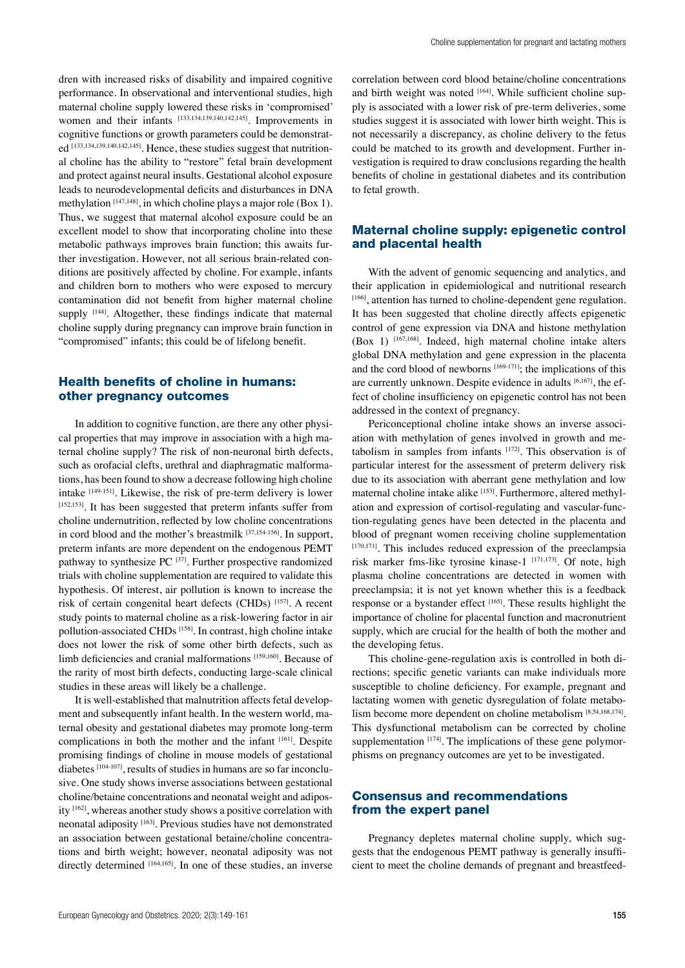dren with increased risks of disability and impaired cognitive performance. In observational and interventional studies, high maternal choline supply lowered these risks in 'compromised' women and their infants [133,134,139,140,142,145]. Improvements in cognitive functions or growth parameters could be demonstrated<sup>[133,134,139,140,142,145]</sup>. Hence, these studies suggest that nutritional choline has the ability to "restore" fetal brain development and protect against neural insults. Gestational alcohol exposure leads to neurodevelopmental deficits and disturbances in DNA methylation [147,148], in which choline plays a major role (Box 1). Thus, we suggest that maternal alcohol exposure could be an excellent model to show that incorporating choline into these metabolic pathways improves brain function; this awaits further investigation. However, not all serious brain-related conditions are positively affected by choline. For example, infants and children born to mothers who were exposed to mercury contamination did not benefit from higher maternal choline supply <sup>[144]</sup>. Altogether, these findings indicate that maternal choline supply during pregnancy can improve brain function in "compromised" infants; this could be of lifelong benefit.

#### Health benefits of choline in humans: other pregnancy outcomes

In addition to cognitive function, are there any other physical properties that may improve in association with a high maternal choline supply? The risk of non-neuronal birth defects, such as orofacial clefts, urethral and diaphragmatic malformations, has been found to show a decrease following high choline intake [149-151]. Likewise, the risk of pre-term delivery is lower [152,153]. It has been suggested that preterm infants suffer from choline undernutrition, reflected by low choline concentrations in cord blood and the mother's breastmilk  $[37,154-156]$ . In support, preterm infants are more dependent on the endogenous PEMT pathway to synthesize  $PC$ <sup>[37]</sup>. Further prospective randomized trials with choline supplementation are required to validate this hypothesis. Of interest, air pollution is known to increase the risk of certain congenital heart defects (CHDs) [157]. A recent study points to maternal choline as a risk-lowering factor in air pollution-associated CHDs [158]. In contrast, high choline intake does not lower the risk of some other birth defects, such as limb deficiencies and cranial malformations [159,160]. Because of the rarity of most birth defects, conducting large-scale clinical studies in these areas will likely be a challenge.

It is well-established that malnutrition affects fetal development and subsequently infant health. In the western world, maternal obesity and gestational diabetes may promote long-term complications in both the mother and the infant [161]. Despite promising findings of choline in mouse models of gestational diabetes [104-107], results of studies in humans are so far inconclusive. One study shows inverse associations between gestational choline/betaine concentrations and neonatal weight and adiposity [162], whereas another study shows a positive correlation with neonatal adiposity [163]. Previous studies have not demonstrated an association between gestational betaine/choline concentrations and birth weight; however, neonatal adiposity was not directly determined [164,165]. In one of these studies, an inverse correlation between cord blood betaine/choline concentrations and birth weight was noted [164]. While sufficient choline supply is associated with a lower risk of pre-term deliveries, some studies suggest it is associated with lower birth weight. This is not necessarily a discrepancy, as choline delivery to the fetus could be matched to its growth and development. Further investigation is required to draw conclusions regarding the health benefits of choline in gestational diabetes and its contribution to fetal growth.

# Maternal choline supply: epigenetic control and placental health

With the advent of genomic sequencing and analytics, and their application in epidemiological and nutritional research [166], attention has turned to choline-dependent gene regulation. It has been suggested that choline directly affects epigenetic control of gene expression via DNA and histone methylation (Box 1) [167,168]. Indeed, high maternal choline intake alters global DNA methylation and gene expression in the placenta and the cord blood of newborns [169-171]; the implications of this are currently unknown. Despite evidence in adults [6,167], the effect of choline insufficiency on epigenetic control has not been addressed in the context of pregnancy.

Periconceptional choline intake shows an inverse association with methylation of genes involved in growth and metabolism in samples from infants [172]. This observation is of particular interest for the assessment of preterm delivery risk due to its association with aberrant gene methylation and low maternal choline intake alike [153]. Furthermore, altered methylation and expression of cortisol-regulating and vascular-function-regulating genes have been detected in the placenta and blood of pregnant women receiving choline supplementation  $[170,171]$ . This includes reduced expression of the preeclampsia risk marker fms-like tyrosine kinase-1  $[171,173]$ . Of note, high plasma choline concentrations are detected in women with preeclampsia; it is not yet known whether this is a feedback response or a bystander effect [165]. These results highlight the importance of choline for placental function and macronutrient supply, which are crucial for the health of both the mother and the developing fetus.

This choline-gene-regulation axis is controlled in both directions; specific genetic variants can make individuals more susceptible to choline deficiency. For example, pregnant and lactating women with genetic dysregulation of folate metabolism become more dependent on choline metabolism [8,54,168,174]. This dysfunctional metabolism can be corrected by choline supplementation  $[174]$ . The implications of these gene polymorphisms on pregnancy outcomes are yet to be investigated.

# Consensus and recommendations from the expert panel

Pregnancy depletes maternal choline supply, which suggests that the endogenous PEMT pathway is generally insufficient to meet the choline demands of pregnant and breastfeed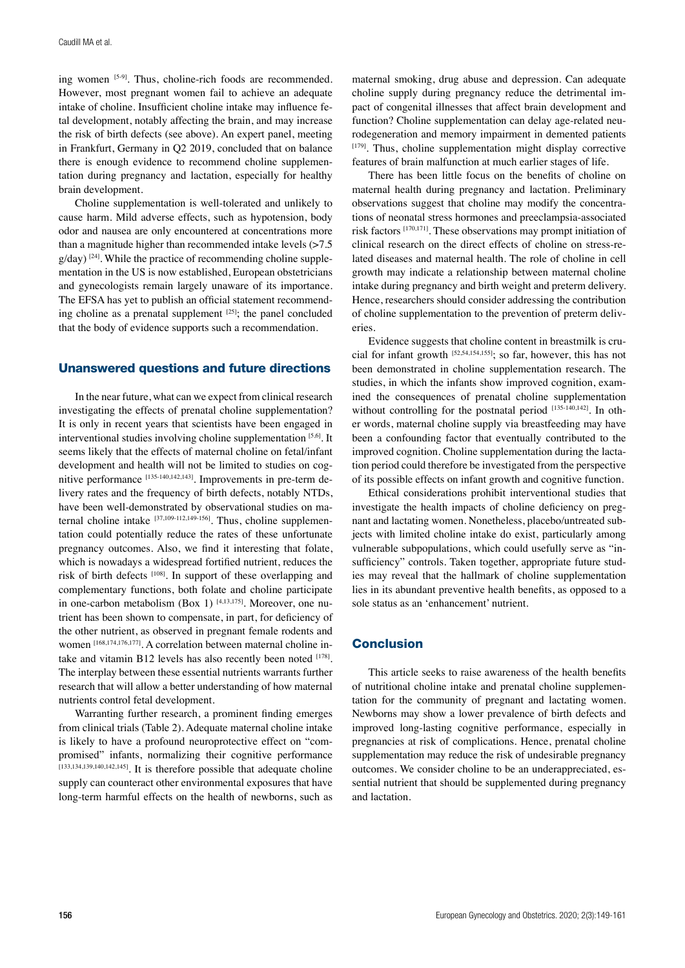ing women [5-9]. Thus, choline-rich foods are recommended. However, most pregnant women fail to achieve an adequate intake of choline. Insufficient choline intake may influence fetal development, notably affecting the brain, and may increase the risk of birth defects (see above). An expert panel, meeting in Frankfurt, Germany in Q2 2019, concluded that on balance there is enough evidence to recommend choline supplementation during pregnancy and lactation, especially for healthy brain development.

Choline supplementation is well-tolerated and unlikely to cause harm. Mild adverse effects, such as hypotension, body odor and nausea are only encountered at concentrations more than a magnitude higher than recommended intake levels (>7.5  $g$ /day)  $[24]$ . While the practice of recommending choline supplementation in the US is now established, European obstetricians and gynecologists remain largely unaware of its importance. The EFSA has yet to publish an official statement recommending choline as a prenatal supplement [25]; the panel concluded that the body of evidence supports such a recommendation.

#### Unanswered questions and future directions

In the near future, what can we expect from clinical research investigating the effects of prenatal choline supplementation? It is only in recent years that scientists have been engaged in interventional studies involving choline supplementation [5,6]. It seems likely that the effects of maternal choline on fetal/infant development and health will not be limited to studies on cognitive performance [135-140,142,143]. Improvements in pre-term delivery rates and the frequency of birth defects, notably NTDs, have been well-demonstrated by observational studies on maternal choline intake [37,109-112,149-156]. Thus, choline supplementation could potentially reduce the rates of these unfortunate pregnancy outcomes. Also, we find it interesting that folate, which is nowadays a widespread fortified nutrient, reduces the risk of birth defects [108]. In support of these overlapping and complementary functions, both folate and choline participate in one-carbon metabolism (Box 1)  $[4,13,175]$ . Moreover, one nutrient has been shown to compensate, in part, for deficiency of the other nutrient, as observed in pregnant female rodents and women [168,174,176,177]. A correlation between maternal choline intake and vitamin B12 levels has also recently been noted [178]. The interplay between these essential nutrients warrants further research that will allow a better understanding of how maternal nutrients control fetal development.

Warranting further research, a prominent finding emerges from clinical trials (Table 2). Adequate maternal choline intake is likely to have a profound neuroprotective effect on "compromised" infants, normalizing their cognitive performance [133,134,139,140,142,145]. It is therefore possible that adequate choline supply can counteract other environmental exposures that have long-term harmful effects on the health of newborns, such as

maternal smoking, drug abuse and depression. Can adequate choline supply during pregnancy reduce the detrimental impact of congenital illnesses that affect brain development and function? Choline supplementation can delay age-related neurodegeneration and memory impairment in demented patients  $[179]$ . Thus, choline supplementation might display corrective features of brain malfunction at much earlier stages of life.

There has been little focus on the benefits of choline on maternal health during pregnancy and lactation. Preliminary observations suggest that choline may modify the concentrations of neonatal stress hormones and preeclampsia-associated risk factors [170,171]. These observations may prompt initiation of clinical research on the direct effects of choline on stress-related diseases and maternal health. The role of choline in cell growth may indicate a relationship between maternal choline intake during pregnancy and birth weight and preterm delivery. Hence, researchers should consider addressing the contribution of choline supplementation to the prevention of preterm deliveries.

Evidence suggests that choline content in breastmilk is crucial for infant growth [52,54,154,155]; so far, however, this has not been demonstrated in choline supplementation research. The studies, in which the infants show improved cognition, examined the consequences of prenatal choline supplementation without controlling for the postnatal period [135-140,142]. In other words, maternal choline supply via breastfeeding may have been a confounding factor that eventually contributed to the improved cognition. Choline supplementation during the lactation period could therefore be investigated from the perspective of its possible effects on infant growth and cognitive function.

Ethical considerations prohibit interventional studies that investigate the health impacts of choline deficiency on pregnant and lactating women. Nonetheless, placebo/untreated subjects with limited choline intake do exist, particularly among vulnerable subpopulations, which could usefully serve as "insufficiency" controls. Taken together, appropriate future studies may reveal that the hallmark of choline supplementation lies in its abundant preventive health benefits, as opposed to a sole status as an 'enhancement' nutrient.

### **Conclusion**

This article seeks to raise awareness of the health benefits of nutritional choline intake and prenatal choline supplementation for the community of pregnant and lactating women. Newborns may show a lower prevalence of birth defects and improved long-lasting cognitive performance, especially in pregnancies at risk of complications. Hence, prenatal choline supplementation may reduce the risk of undesirable pregnancy outcomes. We consider choline to be an underappreciated, essential nutrient that should be supplemented during pregnancy and lactation.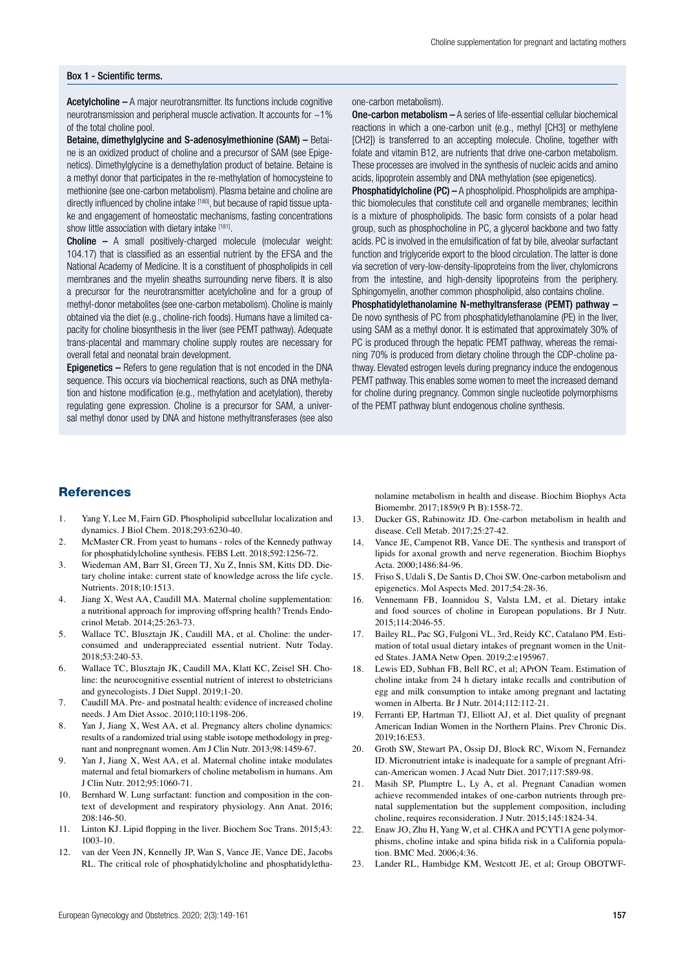#### Box 1 - Scientific terms.

Acetylcholine – A major neurotransmitter. Its functions include cognitive neurotransmission and peripheral muscle activation. It accounts for ~1% of the total choline pool.

Betaine, dimethylglycine and S-adenosylmethionine (SAM) – Betaine is an oxidized product of choline and a precursor of SAM (see Epigenetics). Dimethylglycine is a demethylation product of betaine. Betaine is a methyl donor that participates in the re-methylation of homocysteine to methionine (see one-carbon metabolism). Plasma betaine and choline are directly influenced by choline intake [180], but because of rapid tissue uptake and engagement of homeostatic mechanisms, fasting concentrations show little association with dietary intake [181].

Choline – A small positively-charged molecule (molecular weight: 104.17) that is classified as an essential nutrient by the EFSA and the National Academy of Medicine. It is a constituent of phospholipids in cell membranes and the myelin sheaths surrounding nerve fibers. It is also a precursor for the neurotransmitter acetylcholine and for a group of methyl-donor metabolites (see one-carbon metabolism). Choline is mainly obtained via the diet (e.g., choline-rich foods). Humans have a limited capacity for choline biosynthesis in the liver (see PEMT pathway). Adequate trans-placental and mammary choline supply routes are necessary for overall fetal and neonatal brain development.

Epigenetics – Refers to gene regulation that is not encoded in the DNA sequence. This occurs via biochemical reactions, such as DNA methylation and histone modification (e.g., methylation and acetylation), thereby regulating gene expression. Choline is a precursor for SAM, a universal methyl donor used by DNA and histone methyltransferases (see also one-carbon metabolism).

One-carbon metabolism – A series of life-essential cellular biochemical reactions in which a one-carbon unit (e.g., methyl [CH3] or methylene [CH2]) is transferred to an accepting molecule. Choline, together with folate and vitamin B12, are nutrients that drive one-carbon metabolism. These processes are involved in the synthesis of nucleic acids and amino acids, lipoprotein assembly and DNA methylation (see epigenetics).

Phosphatidylcholine (PC) – A phospholipid. Phospholipids are amphipathic biomolecules that constitute cell and organelle membranes; lecithin is a mixture of phospholipids. The basic form consists of a polar head group, such as phosphocholine in PC, a glycerol backbone and two fatty acids. PC is involved in the emulsification of fat by bile, alveolar surfactant function and triglyceride export to the blood circulation. The latter is done via secretion of very-low-density-lipoproteins from the liver, chylomicrons from the intestine, and high-density lipoproteins from the periphery. Sphingomyelin, another common phospholipid, also contains choline.

Phosphatidylethanolamine N-methyltransferase (PEMT) pathway – De novo synthesis of PC from phosphatidylethanolamine (PE) in the liver, using SAM as a methyl donor. It is estimated that approximately 30% of PC is produced through the hepatic PEMT pathway, whereas the remaining 70% is produced from dietary choline through the CDP-choline pathway. Elevated estrogen levels during pregnancy induce the endogenous PEMT pathway. This enables some women to meet the increased demand for choline during pregnancy. Common single nucleotide polymorphisms of the PEMT pathway blunt endogenous choline synthesis.

# **References**

- 1. Yang Y, Lee M, Fairn GD. Phospholipid subcellular localization and dynamics. J Biol Chem. 2018;293:6230-40.
- 2. McMaster CR. From yeast to humans roles of the Kennedy pathway for phosphatidylcholine synthesis. FEBS Lett. 2018;592:1256-72.
- 3. Wiedeman AM, Barr SI, Green TJ, Xu Z, Innis SM, Kitts DD. Dietary choline intake: current state of knowledge across the life cycle. Nutrients. 2018;10:1513.
- 4. Jiang X, West AA, Caudill MA. Maternal choline supplementation: a nutritional approach for improving offspring health? Trends Endocrinol Metab. 2014;25:263-73.
- 5. Wallace TC, Blusztajn JK, Caudill MA, et al. Choline: the underconsumed and underappreciated essential nutrient. Nutr Today. 2018;53:240-53.
- 6. Wallace TC, Blusztajn JK, Caudill MA, Klatt KC, Zeisel SH. Choline: the neurocognitive essential nutrient of interest to obstetricians and gynecologists. J Diet Suppl. 2019;1-20.
- 7. Caudill MA. Pre- and postnatal health: evidence of increased choline needs. J Am Diet Assoc. 2010;110:1198-206.
- 8. Yan J, Jiang X, West AA, et al. Pregnancy alters choline dynamics: results of a randomized trial using stable isotope methodology in pregnant and nonpregnant women. Am J Clin Nutr. 2013;98:1459-67.
- 9. Yan J, Jiang X, West AA, et al. Maternal choline intake modulates maternal and fetal biomarkers of choline metabolism in humans. Am J Clin Nutr. 2012;95:1060-71.
- 10. Bernhard W. Lung surfactant: function and composition in the context of development and respiratory physiology. Ann Anat. 2016; 208:146-50.
- 11. Linton KJ. Lipid flopping in the liver. Biochem Soc Trans. 2015;43: 1003-10.
- 12. van der Veen JN, Kennelly JP, Wan S, Vance JE, Vance DE, Jacobs RL. The critical role of phosphatidylcholine and phosphatidyletha-

nolamine metabolism in health and disease. Biochim Biophys Acta Biomembr. 2017;1859(9 Pt B):1558-72.

- 13. Ducker GS, Rabinowitz JD. One-carbon metabolism in health and disease. Cell Metab. 2017;25:27-42.
- 14. Vance JE, Campenot RB, Vance DE. The synthesis and transport of lipids for axonal growth and nerve regeneration. Biochim Biophys Acta. 2000;1486:84-96.
- 15. Friso S, Udali S, De Santis D, Choi SW. One-carbon metabolism and epigenetics. Mol Aspects Med. 2017;54:28-36.
- 16. Vennemann FB, Ioannidou S, Valsta LM, et al. Dietary intake and food sources of choline in European populations. Br J Nutr. 2015;114:2046-55.
- 17. Bailey RL, Pac SG, Fulgoni VL, 3rd, Reidy KC, Catalano PM. Estimation of total usual dietary intakes of pregnant women in the United States. JAMA Netw Open. 2019;2:e195967.
- 18. Lewis ED, Subhan FB, Bell RC, et al; APrON Team. Estimation of choline intake from 24 h dietary intake recalls and contribution of egg and milk consumption to intake among pregnant and lactating women in Alberta. Br J Nutr. 2014;112:112-21.
- 19. Ferranti EP, Hartman TJ, Elliott AJ, et al. Diet quality of pregnant American Indian Women in the Northern Plains. Prev Chronic Dis. 2019;16:E53.
- 20. Groth SW, Stewart PA, Ossip DJ, Block RC, Wixom N, Fernandez ID. Micronutrient intake is inadequate for a sample of pregnant African-American women. J Acad Nutr Diet. 2017;117:589-98.
- 21. Masih SP, Plumptre L, Ly A, et al. Pregnant Canadian women achieve recommended intakes of one-carbon nutrients through prenatal supplementation but the supplement composition, including choline, requires reconsideration. J Nutr. 2015;145:1824-34.
- 22. Enaw JO, Zhu H, Yang W, et al. CHKA and PCYT1A gene polymorphisms, choline intake and spina bifida risk in a California population. BMC Med. 2006;4:36.
- 23. Lander RL, Hambidge KM, Westcott JE, et al; Group OBOTWF-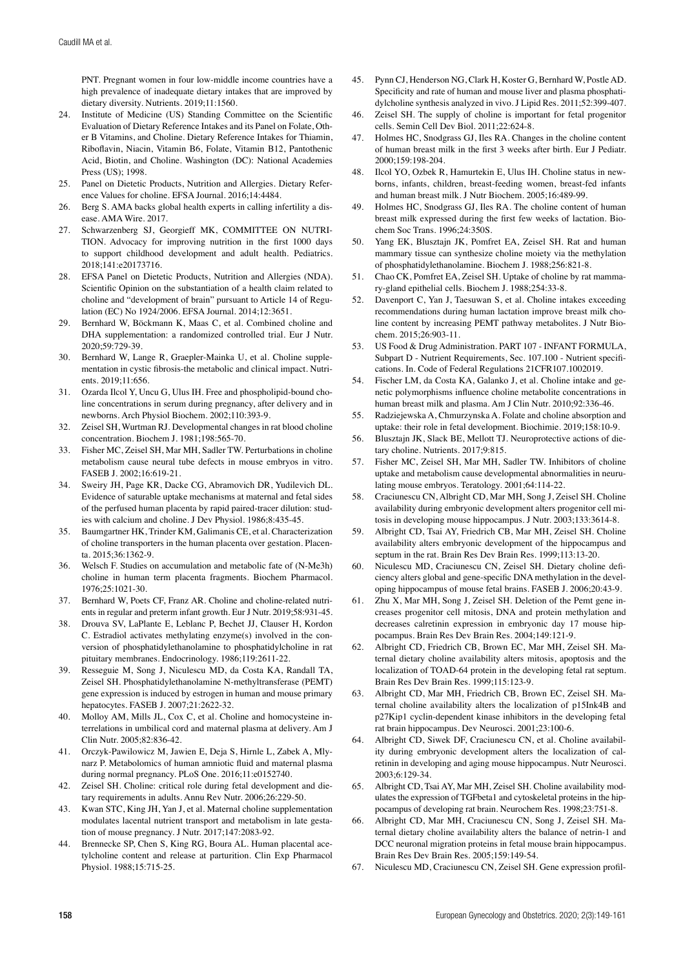PNT. Pregnant women in four low-middle income countries have a high prevalence of inadequate dietary intakes that are improved by dietary diversity. Nutrients. 2019;11:1560.

- 24. Institute of Medicine (US) Standing Committee on the Scientific Evaluation of Dietary Reference Intakes and its Panel on Folate, Other B Vitamins, and Choline. Dietary Reference Intakes for Thiamin, Riboflavin, Niacin, Vitamin B6, Folate, Vitamin B12, Pantothenic Acid, Biotin, and Choline. Washington (DC): National Academies Press (US); 1998.
- Panel on Dietetic Products, Nutrition and Allergies. Dietary Reference Values for choline. EFSA Journal. 2016;14:4484.
- 26. Berg S. AMA backs global health experts in calling infertility a disease. AMA Wire. 2017.
- 27. Schwarzenberg SJ, Georgieff MK, COMMITTEE ON NUTRI-TION. Advocacy for improving nutrition in the first 1000 days to support childhood development and adult health. Pediatrics. 2018;141:e20173716.
- 28. EFSA Panel on Dietetic Products, Nutrition and Allergies (NDA). Scientific Opinion on the substantiation of a health claim related to choline and "development of brain" pursuant to Article 14 of Regulation (EC) No 1924/2006. EFSA Journal. 2014;12:3651.
- 29. Bernhard W, Böckmann K, Maas C, et al. Combined choline and DHA supplementation: a randomized controlled trial. Eur J Nutr. 2020;59:729-39.
- 30. Bernhard W, Lange R, Graepler-Mainka U, et al. Choline supplementation in cystic fibrosis-the metabolic and clinical impact. Nutrients.  $2019.11:656$ .
- 31. Ozarda Ilcol Y, Uncu G, Ulus IH. Free and phospholipid-bound choline concentrations in serum during pregnancy, after delivery and in newborns. Arch Physiol Biochem. 2002;110:393-9.
- 32. Zeisel SH, Wurtman RJ. Developmental changes in rat blood choline concentration. Biochem J. 1981;198:565-70.
- 33. Fisher MC, Zeisel SH, Mar MH, Sadler TW. Perturbations in choline metabolism cause neural tube defects in mouse embryos in vitro. FASEB J. 2002;16:619-21.
- 34. Sweiry JH, Page KR, Dacke CG, Abramovich DR, Yudilevich DL. Evidence of saturable uptake mechanisms at maternal and fetal sides of the perfused human placenta by rapid paired-tracer dilution: studies with calcium and choline. J Dev Physiol. 1986;8:435-45.
- 35. Baumgartner HK, Trinder KM, Galimanis CE, et al. Characterization of choline transporters in the human placenta over gestation. Placenta. 2015;36:1362-9.
- 36. Welsch F. Studies on accumulation and metabolic fate of (N-Me3h) choline in human term placenta fragments. Biochem Pharmacol. 1976;25:1021-30.
- 37. Bernhard W, Poets CF, Franz AR. Choline and choline-related nutrients in regular and preterm infant growth. Eur J Nutr. 2019;58:931-45.
- 38. Drouva SV, LaPlante E, Leblanc P, Bechet JJ, Clauser H, Kordon C. Estradiol activates methylating enzyme(s) involved in the conversion of phosphatidylethanolamine to phosphatidylcholine in rat pituitary membranes. Endocrinology. 1986;119:2611-22.
- 39. Resseguie M, Song J, Niculescu MD, da Costa KA, Randall TA, Zeisel SH. Phosphatidylethanolamine N-methyltransferase (PEMT) gene expression is induced by estrogen in human and mouse primary hepatocytes. FASEB J. 2007;21:2622-32.
- 40. Molloy AM, Mills JL, Cox C, et al. Choline and homocysteine interrelations in umbilical cord and maternal plasma at delivery. Am J Clin Nutr. 2005;82:836-42.
- 41. Orczyk-Pawilowicz M, Jawien E, Deja S, Hirnle L, Zabek A, Mlynarz P. Metabolomics of human amniotic fluid and maternal plasma during normal pregnancy. PLoS One. 2016;11:e0152740.
- 42. Zeisel SH. Choline: critical role during fetal development and dietary requirements in adults. Annu Rev Nutr. 2006;26:229-50.
- 43. Kwan STC, King JH, Yan J, et al. Maternal choline supplementation modulates lacental nutrient transport and metabolism in late gestation of mouse pregnancy. J Nutr. 2017;147:2083-92.
- 44. Brennecke SP, Chen S, King RG, Boura AL. Human placental acetylcholine content and release at parturition. Clin Exp Pharmacol Physiol. 1988;15:715-25.
- 45. Pynn CJ, Henderson NG, Clark H, Koster G, Bernhard W, Postle AD. Specificity and rate of human and mouse liver and plasma phosphatidylcholine synthesis analyzed in vivo. J Lipid Res. 2011;52:399-407.
- 46. Zeisel SH. The supply of choline is important for fetal progenitor cells. Semin Cell Dev Biol. 2011;22:624-8.
- 47. Holmes HC, Snodgrass GJ, Iles RA. Changes in the choline content of human breast milk in the first 3 weeks after birth. Eur J Pediatr. 2000;159:198-204.
- 48. Ilcol YO, Ozbek R, Hamurtekin E, Ulus IH. Choline status in newborns, infants, children, breast-feeding women, breast-fed infants and human breast milk. J Nutr Biochem. 2005;16:489-99.
- 49. Holmes HC, Snodgrass GJ, Iles RA. The choline content of human breast milk expressed during the first few weeks of lactation. Biochem Soc Trans. 1996;24:350S.
- 50. Yang EK, Blusztajn JK, Pomfret EA, Zeisel SH. Rat and human mammary tissue can synthesize choline moiety via the methylation of phosphatidylethanolamine. Biochem J. 1988;256:821-8.
- 51. Chao CK, Pomfret EA, Zeisel SH. Uptake of choline by rat mammary-gland epithelial cells. Biochem J. 1988;254:33-8.
- 52. Davenport C, Yan J, Taesuwan S, et al. Choline intakes exceeding recommendations during human lactation improve breast milk choline content by increasing PEMT pathway metabolites. J Nutr Biochem. 2015;26:903-11.
- 53. US Food & Drug Administration. PART 107 INFANT FORMULA, Subpart D - Nutrient Requirements, Sec. 107.100 - Nutrient specifications. In. Code of Federal Regulations 21CFR107.1002019.
- 54. Fischer LM, da Costa KA, Galanko J, et al. Choline intake and genetic polymorphisms influence choline metabolite concentrations in human breast milk and plasma. Am J Clin Nutr. 2010;92:336-46.
- 55. Radziejewska A, Chmurzynska A. Folate and choline absorption and uptake: their role in fetal development. Biochimie. 2019;158:10-9.
- 56. Blusztajn JK, Slack BE, Mellott TJ. Neuroprotective actions of dietary choline. Nutrients. 2017;9:815.
- 57. Fisher MC, Zeisel SH, Mar MH, Sadler TW. Inhibitors of choline uptake and metabolism cause developmental abnormalities in neurulating mouse embryos. Teratology. 2001;64:114-22.
- 58. Craciunescu CN, Albright CD, Mar MH, Song J, Zeisel SH. Choline availability during embryonic development alters progenitor cell mitosis in developing mouse hippocampus. J Nutr. 2003;133:3614-8.
- 59. Albright CD, Tsai AY, Friedrich CB, Mar MH, Zeisel SH. Choline availability alters embryonic development of the hippocampus and septum in the rat. Brain Res Dev Brain Res. 1999;113:13-20.
- 60. Niculescu MD, Craciunescu CN, Zeisel SH. Dietary choline deficiency alters global and gene-specific DNA methylation in the developing hippocampus of mouse fetal brains. FASEB J. 2006;20:43-9.
- 61. Zhu X, Mar MH, Song J, Zeisel SH. Deletion of the Pemt gene increases progenitor cell mitosis, DNA and protein methylation and decreases calretinin expression in embryonic day 17 mouse hippocampus. Brain Res Dev Brain Res. 2004;149:121-9.
- 62. Albright CD, Friedrich CB, Brown EC, Mar MH, Zeisel SH. Maternal dietary choline availability alters mitosis, apoptosis and the localization of TOAD-64 protein in the developing fetal rat septum. Brain Res Dev Brain Res. 1999;115:123-9.
- Albright CD, Mar MH, Friedrich CB, Brown EC, Zeisel SH. Maternal choline availability alters the localization of p15Ink4B and p27Kip1 cyclin-dependent kinase inhibitors in the developing fetal rat brain hippocampus. Dev Neurosci. 2001;23:100-6.
- 64. Albright CD, Siwek DF, Craciunescu CN, et al. Choline availability during embryonic development alters the localization of calretinin in developing and aging mouse hippocampus. Nutr Neurosci. 2003;6:129-34.
- 65. Albright CD, Tsai AY, Mar MH, Zeisel SH. Choline availability modulates the expression of TGFbeta1 and cytoskeletal proteins in the hippocampus of developing rat brain. Neurochem Res. 1998;23:751-8.
- 66. Albright CD, Mar MH, Craciunescu CN, Song J, Zeisel SH. Maternal dietary choline availability alters the balance of netrin-1 and DCC neuronal migration proteins in fetal mouse brain hippocampus. Brain Res Dev Brain Res. 2005;159:149-54.
- 67. Niculescu MD, Craciunescu CN, Zeisel SH. Gene expression profil-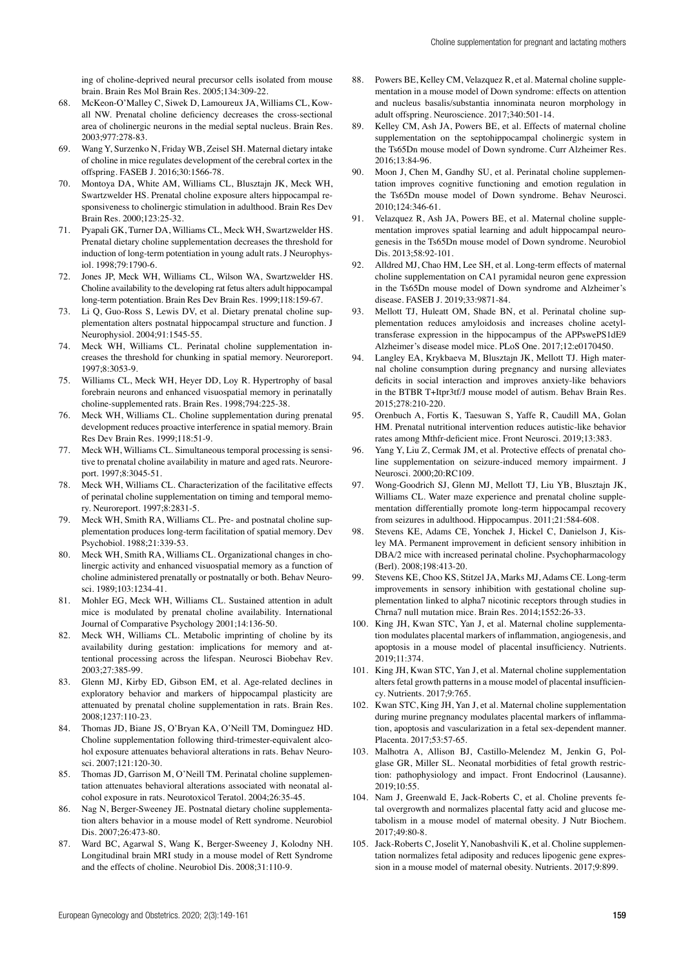ing of choline-deprived neural precursor cells isolated from mouse brain. Brain Res Mol Brain Res. 2005;134:309-22.

- 68. McKeon-O'Malley C, Siwek D, Lamoureux JA, Williams CL, Kowall NW. Prenatal choline deficiency decreases the cross-sectional area of cholinergic neurons in the medial septal nucleus. Brain Res. 2003;977:278-83.
- 69. Wang Y, Surzenko N, Friday WB, Zeisel SH. Maternal dietary intake of choline in mice regulates development of the cerebral cortex in the offspring. FASEB J. 2016;30:1566-78.
- 70. Montoya DA, White AM, Williams CL, Blusztajn JK, Meck WH, Swartzwelder HS. Prenatal choline exposure alters hippocampal responsiveness to cholinergic stimulation in adulthood. Brain Res Dev Brain Res. 2000;123:25-32.
- 71. Pyapali GK, Turner DA, Williams CL, Meck WH, Swartzwelder HS. Prenatal dietary choline supplementation decreases the threshold for induction of long-term potentiation in young adult rats. J Neurophysiol. 1998;79:1790-6.
- 72. Jones JP, Meck WH, Williams CL, Wilson WA, Swartzwelder HS. Choline availability to the developing rat fetus alters adult hippocampal long-term potentiation. Brain Res Dev Brain Res. 1999;118:159-67.
- 73. Li Q, Guo-Ross S, Lewis DV, et al. Dietary prenatal choline supplementation alters postnatal hippocampal structure and function. J Neurophysiol. 2004;91:1545-55.
- 74. Meck WH, Williams CL. Perinatal choline supplementation increases the threshold for chunking in spatial memory. Neuroreport. 1997;8:3053-9.
- 75. Williams CL, Meck WH, Heyer DD, Loy R. Hypertrophy of basal forebrain neurons and enhanced visuospatial memory in perinatally choline-supplemented rats. Brain Res. 1998;794:225-38.
- 76. Meck WH, Williams CL. Choline supplementation during prenatal development reduces proactive interference in spatial memory. Brain Res Dev Brain Res. 1999;118:51-9.
- 77. Meck WH, Williams CL. Simultaneous temporal processing is sensitive to prenatal choline availability in mature and aged rats. Neuroreport. 1997;8:3045-51.
- 78. Meck WH, Williams CL. Characterization of the facilitative effects of perinatal choline supplementation on timing and temporal memory. Neuroreport. 1997;8:2831-5.
- 79. Meck WH, Smith RA, Williams CL. Pre- and postnatal choline supplementation produces long-term facilitation of spatial memory. Dev Psychobiol. 1988;21:339-53.
- 80. Meck WH, Smith RA, Williams CL. Organizational changes in cholinergic activity and enhanced visuospatial memory as a function of choline administered prenatally or postnatally or both. Behav Neurosci. 1989;103:1234-41.
- 81. Mohler EG, Meck WH, Williams CL. Sustained attention in adult mice is modulated by prenatal choline availability. International Journal of Comparative Psychology 2001;14:136-50.
- 82. Meck WH, Williams CL. Metabolic imprinting of choline by its availability during gestation: implications for memory and attentional processing across the lifespan. Neurosci Biobehav Rev. 2003;27:385-99.
- 83. Glenn MJ, Kirby ED, Gibson EM, et al. Age-related declines in exploratory behavior and markers of hippocampal plasticity are attenuated by prenatal choline supplementation in rats. Brain Res. 2008;1237:110-23.
- 84. Thomas JD, Biane JS, O'Bryan KA, O'Neill TM, Dominguez HD. Choline supplementation following third-trimester-equivalent alcohol exposure attenuates behavioral alterations in rats. Behav Neurosci. 2007;121:120-30.
- 85. Thomas JD, Garrison M, O'Neill TM. Perinatal choline supplementation attenuates behavioral alterations associated with neonatal alcohol exposure in rats. Neurotoxicol Teratol. 2004;26:35-45.
- 86. Nag N, Berger-Sweeney JE. Postnatal dietary choline supplementation alters behavior in a mouse model of Rett syndrome. Neurobiol Dis. 2007;26:473-80.
- 87. Ward BC, Agarwal S, Wang K, Berger-Sweeney J, Kolodny NH. Longitudinal brain MRI study in a mouse model of Rett Syndrome and the effects of choline. Neurobiol Dis. 2008;31:110-9.
- 88. Powers BE, Kelley CM, Velazquez R, et al. Maternal choline supplementation in a mouse model of Down syndrome: effects on attention and nucleus basalis/substantia innominata neuron morphology in adult offspring. Neuroscience. 2017;340:501-14.
- 89. Kelley CM, Ash JA, Powers BE, et al. Effects of maternal choline supplementation on the septohippocampal cholinergic system in the Ts65Dn mouse model of Down syndrome. Curr Alzheimer Res. 2016;13:84-96.
- 90. Moon J, Chen M, Gandhy SU, et al. Perinatal choline supplementation improves cognitive functioning and emotion regulation in the Ts65Dn mouse model of Down syndrome. Behav Neurosci. 2010;124:346-61.
- 91. Velazquez R, Ash JA, Powers BE, et al. Maternal choline supplementation improves spatial learning and adult hippocampal neurogenesis in the Ts65Dn mouse model of Down syndrome. Neurobiol Dis. 2013;58:92-101.
- 92. Alldred MJ, Chao HM, Lee SH, et al. Long-term effects of maternal choline supplementation on CA1 pyramidal neuron gene expression in the Ts65Dn mouse model of Down syndrome and Alzheimer's disease. FASEB J. 2019;33:9871-84.
- 93. Mellott TJ, Huleatt OM, Shade BN, et al. Perinatal choline supplementation reduces amyloidosis and increases choline acetyltransferase expression in the hippocampus of the APPswePS1dE9 Alzheimer's disease model mice. PLoS One. 2017;12:e0170450.
- Langley EA, Krykbaeva M, Blusztajn JK, Mellott TJ. High maternal choline consumption during pregnancy and nursing alleviates deficits in social interaction and improves anxiety-like behaviors in the BTBR T+Itpr3tf/J mouse model of autism. Behav Brain Res. 2015;278:210-220.
- 95. Orenbuch A, Fortis K, Taesuwan S, Yaffe R, Caudill MA, Golan HM. Prenatal nutritional intervention reduces autistic-like behavior rates among Mthfr-deficient mice. Front Neurosci. 2019;13:383.
- 96. Yang Y, Liu Z, Cermak JM, et al. Protective effects of prenatal choline supplementation on seizure-induced memory impairment. J Neurosci. 2000;20:RC109.
- 97. Wong-Goodrich SJ, Glenn MJ, Mellott TJ, Liu YB, Blusztajn JK, Williams CL. Water maze experience and prenatal choline supplementation differentially promote long-term hippocampal recovery from seizures in adulthood. Hippocampus. 2011;21:584-608.
- 98. Stevens KE, Adams CE, Yonchek J, Hickel C, Danielson J, Kisley MA. Permanent improvement in deficient sensory inhibition in DBA/2 mice with increased perinatal choline. Psychopharmacology  $(Ber)$ . 2008;198;413-20.
- Stevens KE, Choo KS, Stitzel JA, Marks MJ, Adams CE. Long-term improvements in sensory inhibition with gestational choline supplementation linked to alpha7 nicotinic receptors through studies in Chrna7 null mutation mice. Brain Res. 2014;1552:26-33.
- 100. King JH, Kwan STC, Yan J, et al. Maternal choline supplementation modulates placental markers of inflammation, angiogenesis, and apoptosis in a mouse model of placental insufficiency. Nutrients. 2019;11:374.
- 101. King JH, Kwan STC, Yan J, et al. Maternal choline supplementation alters fetal growth patterns in a mouse model of placental insufficiency. Nutrients. 2017;9:765.
- 102. Kwan STC, King JH, Yan J, et al. Maternal choline supplementation during murine pregnancy modulates placental markers of inflammation, apoptosis and vascularization in a fetal sex-dependent manner. Placenta. 2017;53:57-65.
- 103. Malhotra A, Allison BJ, Castillo-Melendez M, Jenkin G, Polglase GR, Miller SL. Neonatal morbidities of fetal growth restriction: pathophysiology and impact. Front Endocrinol (Lausanne). 2019;10:55.
- 104. Nam J, Greenwald E, Jack-Roberts C, et al. Choline prevents fetal overgrowth and normalizes placental fatty acid and glucose metabolism in a mouse model of maternal obesity. J Nutr Biochem. 2017;49:80-8.
- 105. Jack-Roberts C, Joselit Y, Nanobashvili K, et al. Choline supplementation normalizes fetal adiposity and reduces lipogenic gene expression in a mouse model of maternal obesity. Nutrients. 2017;9:899.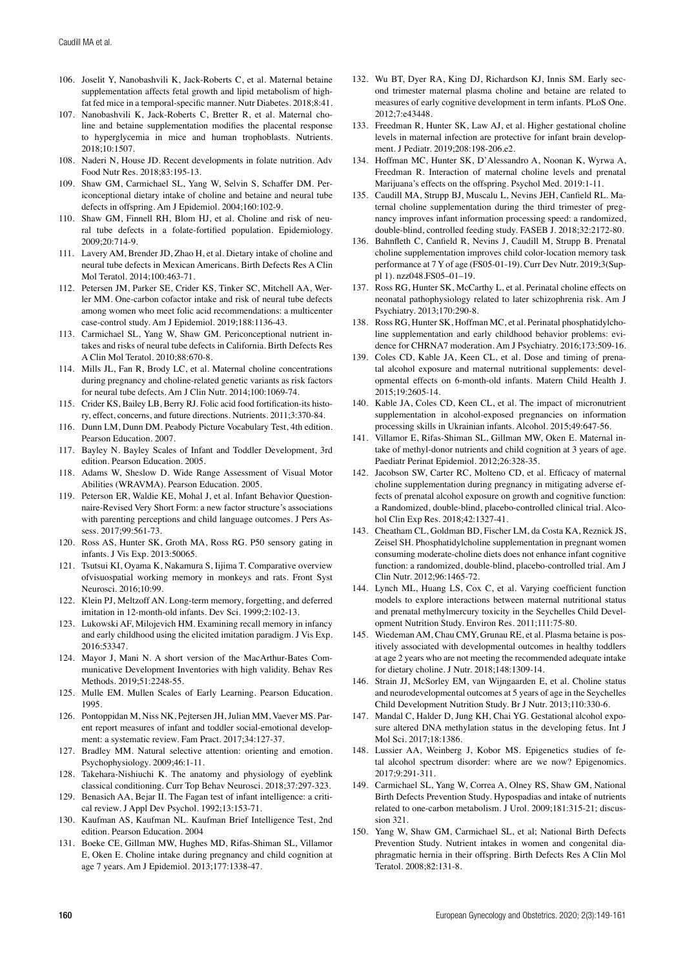- 106. Joselit Y, Nanobashvili K, Jack-Roberts C, et al. Maternal betaine supplementation affects fetal growth and lipid metabolism of highfat fed mice in a temporal-specific manner. Nutr Diabetes. 2018;8:41.
- 107. Nanobashvili K, Jack-Roberts C, Bretter R, et al. Maternal choline and betaine supplementation modifies the placental response to hyperglycemia in mice and human trophoblasts. Nutrients.  $2018:10:1507$ .
- 108. Naderi N, House JD. Recent developments in folate nutrition. Adv Food Nutr Res. 2018;83:195-13.
- 109. Shaw GM, Carmichael SL, Yang W, Selvin S, Schaffer DM. Periconceptional dietary intake of choline and betaine and neural tube defects in offspring. Am J Epidemiol. 2004;160:102-9.
- 110. Shaw GM, Finnell RH, Blom HJ, et al. Choline and risk of neural tube defects in a folate-fortified population. Epidemiology. 2009;20:714-9.
- 111. Lavery AM, Brender JD, Zhao H, et al. Dietary intake of choline and neural tube defects in Mexican Americans. Birth Defects Res A Clin Mol Teratol. 2014;100:463-71.
- 112. Petersen JM, Parker SE, Crider KS, Tinker SC, Mitchell AA, Werler MM. One-carbon cofactor intake and risk of neural tube defects among women who meet folic acid recommendations: a multicenter case-control study. Am J Epidemiol. 2019;188:1136-43.
- 113. Carmichael SL, Yang W, Shaw GM. Periconceptional nutrient intakes and risks of neural tube defects in California. Birth Defects Res A Clin Mol Teratol. 2010;88:670-8.
- 114. Mills JL, Fan R, Brody LC, et al. Maternal choline concentrations during pregnancy and choline-related genetic variants as risk factors for neural tube defects. Am J Clin Nutr. 2014;100:1069-74.
- 115. Crider KS, Bailey LB, Berry RJ. Folic acid food fortification-its history, effect, concerns, and future directions. Nutrients. 2011;3:370-84.
- 116. Dunn LM, Dunn DM. Peabody Picture Vocabulary Test, 4th edition. Pearson Education. 2007.
- 117. Bayley N. Bayley Scales of Infant and Toddler Development, 3rd edition. Pearson Education. 2005.
- 118. Adams W, Sheslow D. Wide Range Assessment of Visual Motor Abilities (WRAVMA). Pearson Education. 2005.
- 119. Peterson ER, Waldie KE, Mohal J, et al. Infant Behavior Questionnaire-Revised Very Short Form: a new factor structure's associations with parenting perceptions and child language outcomes. J Pers Assess. 2017;99:561-73.
- 120. Ross AS, Hunter SK, Groth MA, Ross RG. P50 sensory gating in infants. J Vis Exp. 2013:50065.
- 121. Tsutsui KI, Oyama K, Nakamura S, Iijima T. Comparative overview ofvisuospatial working memory in monkeys and rats. Front Syst Neurosci. 2016;10:99.
- 122. Klein PJ, Meltzoff AN. Long-term memory, forgetting, and deferred imitation in 12-month-old infants. Dev Sci. 1999;2:102-13.
- 123. Lukowski AF, Milojevich HM. Examining recall memory in infancy and early childhood using the elicited imitation paradigm. J Vis Exp. 2016:53347.
- 124. Mayor J, Mani N. A short version of the MacArthur-Bates Communicative Development Inventories with high validity. Behav Res Methods. 2019;51:2248-55.
- 125. Mulle EM. Mullen Scales of Early Learning. Pearson Education. 1995.
- 126. Pontoppidan M, Niss NK, Pejtersen JH, Julian MM, Vaever MS. Parent report measures of infant and toddler social-emotional development: a systematic review. Fam Pract. 2017;34:127-37.
- 127. Bradley MM. Natural selective attention: orienting and emotion. Psychophysiology. 2009;46:1-11.
- 128. Takehara-Nishiuchi K. The anatomy and physiology of eyeblink classical conditioning. Curr Top Behav Neurosci. 2018;37:297-323.
- 129. Benasich AA, Bejar II. The Fagan test of infant intelligence: a critical review. J Appl Dev Psychol. 1992;13:153-71.
- 130. Kaufman AS, Kaufman NL. Kaufman Brief Intelligence Test, 2nd edition. Pearson Education. 2004
- 131. Boeke CE, Gillman MW, Hughes MD, Rifas-Shiman SL, Villamor E, Oken E. Choline intake during pregnancy and child cognition at age 7 years. Am J Epidemiol. 2013;177:1338-47.
- 132. Wu BT, Dyer RA, King DJ, Richardson KJ, Innis SM. Early second trimester maternal plasma choline and betaine are related to measures of early cognitive development in term infants. PLoS One. 2012;7:e43448.
- 133. Freedman R, Hunter SK, Law AJ, et al. Higher gestational choline levels in maternal infection are protective for infant brain development. J Pediatr. 2019;208:198-206.e2.
- 134. Hoffman MC, Hunter SK, D'Alessandro A, Noonan K, Wyrwa A, Freedman R. Interaction of maternal choline levels and prenatal Marijuana's effects on the offspring. Psychol Med. 2019:1-11.
- 135. Caudill MA, Strupp BJ, Muscalu L, Nevins JEH, Canfield RL. Maternal choline supplementation during the third trimester of pregnancy improves infant information processing speed: a randomized, double-blind, controlled feeding study. FASEB J. 2018;32:2172-80.
- 136. Bahnfleth C, Canfield R, Nevins J, Caudill M, Strupp B. Prenatal choline supplementation improves child color-location memory task performance at 7 Y of age (FS05-01-19). Curr Dev Nutr. 2019;3(Suppl 1). nzz048.FS05–01–19.
- 137. Ross RG, Hunter SK, McCarthy L, et al. Perinatal choline effects on neonatal pathophysiology related to later schizophrenia risk. Am J Psychiatry. 2013;170:290-8.
- 138. Ross RG, Hunter SK, Hoffman MC, et al. Perinatal phosphatidylcholine supplementation and early childhood behavior problems: evidence for CHRNA7 moderation. Am J Psychiatry. 2016;173:509-16.
- 139. Coles CD, Kable JA, Keen CL, et al. Dose and timing of prenatal alcohol exposure and maternal nutritional supplements: developmental effects on 6-month-old infants. Matern Child Health J. 2015;19:2605-14.
- 140. Kable JA, Coles CD, Keen CL, et al. The impact of micronutrient supplementation in alcohol-exposed pregnancies on information processing skills in Ukrainian infants. Alcohol. 2015;49:647-56.
- 141. Villamor E, Rifas-Shiman SL, Gillman MW, Oken E. Maternal intake of methyl-donor nutrients and child cognition at 3 years of age. Paediatr Perinat Epidemiol. 2012;26:328-35.
- 142. Jacobson SW, Carter RC, Molteno CD, et al. Efficacy of maternal choline supplementation during pregnancy in mitigating adverse effects of prenatal alcohol exposure on growth and cognitive function: a Randomized, double-blind, placebo-controlled clinical trial. Alcohol Clin Exp Res. 2018;42:1327-41.
- 143. Cheatham CL, Goldman BD, Fischer LM, da Costa KA, Reznick JS, Zeisel SH. Phosphatidylcholine supplementation in pregnant women consuming moderate-choline diets does not enhance infant cognitive function: a randomized, double-blind, placebo-controlled trial. Am J Clin Nutr. 2012;96:1465-72.
- 144. Lynch ML, Huang LS, Cox C, et al. Varying coefficient function models to explore interactions between maternal nutritional status and prenatal methylmercury toxicity in the Seychelles Child Development Nutrition Study. Environ Res. 2011;111:75-80.
- 145. Wiedeman AM, Chau CMY, Grunau RE, et al. Plasma betaine is positively associated with developmental outcomes in healthy toddlers at age 2 years who are not meeting the recommended adequate intake for dietary choline. J Nutr. 2018;148:1309-14.
- 146. Strain JJ, McSorley EM, van Wijngaarden E, et al. Choline status and neurodevelopmental outcomes at 5 years of age in the Seychelles Child Development Nutrition Study. Br J Nutr. 2013;110:330-6.
- 147. Mandal C, Halder D, Jung KH, Chai YG. Gestational alcohol exposure altered DNA methylation status in the developing fetus. Int J Mol Sci. 2017;18:1386.
- 148. Lussier AA, Weinberg J, Kobor MS. Epigenetics studies of fetal alcohol spectrum disorder: where are we now? Epigenomics. 2017;9:291-311.
- 149. Carmichael SL, Yang W, Correa A, Olney RS, Shaw GM, National Birth Defects Prevention Study. Hypospadias and intake of nutrients related to one-carbon metabolism. J Urol. 2009;181:315-21; discussion 321.
- 150. Yang W, Shaw GM, Carmichael SL, et al; National Birth Defects Prevention Study. Nutrient intakes in women and congenital diaphragmatic hernia in their offspring. Birth Defects Res A Clin Mol Teratol. 2008;82:131-8.